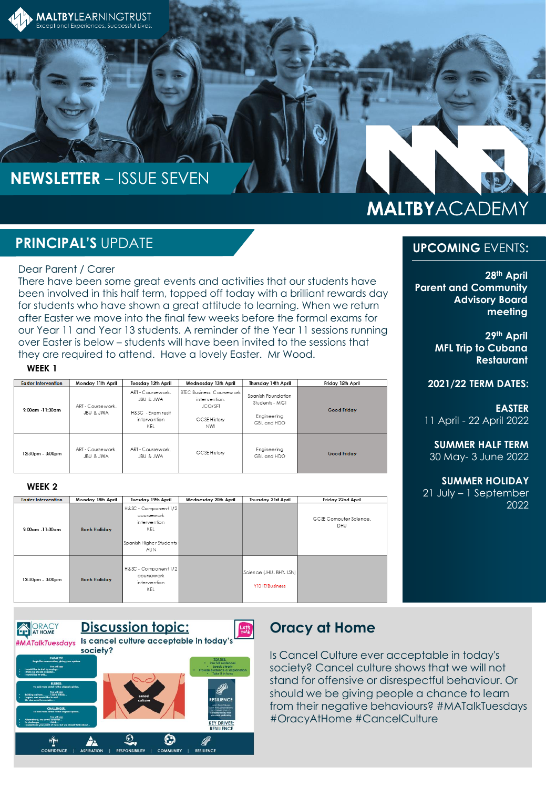

# **NEWSLETTER** – ISSUE SEVEN

# **MALTBYACADEMY**

## **PRINCIPAL'S** UPDATE

#### Dear Parent / Carer

There have been some great events and activities that our students have been involved in this half term, topped off today with a brilliant rewards day for students who have shown a great attitude to learning. When we return after Easter we move into the final few weeks before the formal exams for our Year 11 and Year 13 students. A reminder of the Year 11 sessions running over Easter is below – students will have been invited to the sessions that they are required to attend. Have a lovely Easter. Mr Wood.

#### WEEK<sub>1</sub>

| Easter Intervention | Monday 11th April             | Tuesday 12th April                                                         | Wednesday 13th April                                                                      | Thursday 14th April                                                | Friday 15th April  |
|---------------------|-------------------------------|----------------------------------------------------------------------------|-------------------------------------------------------------------------------------------|--------------------------------------------------------------------|--------------------|
| 9:00am -11:30am     | ART - Coursework<br>JBU & JWA | ART - Coursework<br>JBU & JWA<br>H&SC - Exam resit<br>intervention<br>KEL. | <b>BTEC Business Coursework</b><br>intervention.<br>JCO/SFT<br>GCSE History<br><b>NWI</b> | Spanish Foundation<br>Students - MGI<br>Engineering<br>GBL and HDO | <b>Good Friday</b> |
| $12.30pm - 3.00pm$  | ART - Coursework<br>JBU & JWA | ART - Coursework<br>JBU & JWA                                              | GCSE History                                                                              | Engineering<br>GBI and HDO                                         | <b>Good Friday</b> |

#### WEEK<sub>2</sub>

| <b>Easter Intervention</b> | Monday 18th April   | Tuesday 19th April                                                                                   | Wednesday 20th April | Thursday 21st April                        | Friday 22nd April             |
|----------------------------|---------------------|------------------------------------------------------------------------------------------------------|----------------------|--------------------------------------------|-------------------------------|
| $9:00$ am -11:30am         | <b>Bank Holiday</b> | H&SC - Component 1/2<br>coursework<br>intervention<br>KEL<br>Spanish Hiaher Students -<br><b>AUN</b> |                      |                                            | GCSE Computer Science.<br>DHU |
| $12:30pm - 3:00pm$         | <b>Bank Holiday</b> | H&SC - Component 1/2<br>coursework<br>intervention<br>KEL                                            |                      | Science (JHU, BHY, LSN)<br>Y10 IT/Business |                               |



### **Oracy at Home**

Is Cancel Culture ever acceptable in today's society? Cancel culture shows that we will not stand for offensive or disrespectful behaviour. Or should we be giving people a chance to learn from their negative behaviours? #MATalkTuesdays #OracyAtHome #CancelCulture

#### **UPCOMING** EVENTS**:**

**28th April Parent and Community Advisory Board meeting** 

> **29th April MFL Trip to Cubana Restaurant**

**2021/22 TERM DATES:**

**EASTER** 11 April - 22 April 2022

**SUMMER HALF TERM** 30 May- 3 June 2022

**SUMMER HOLIDAY** 21 July – 1 September 2022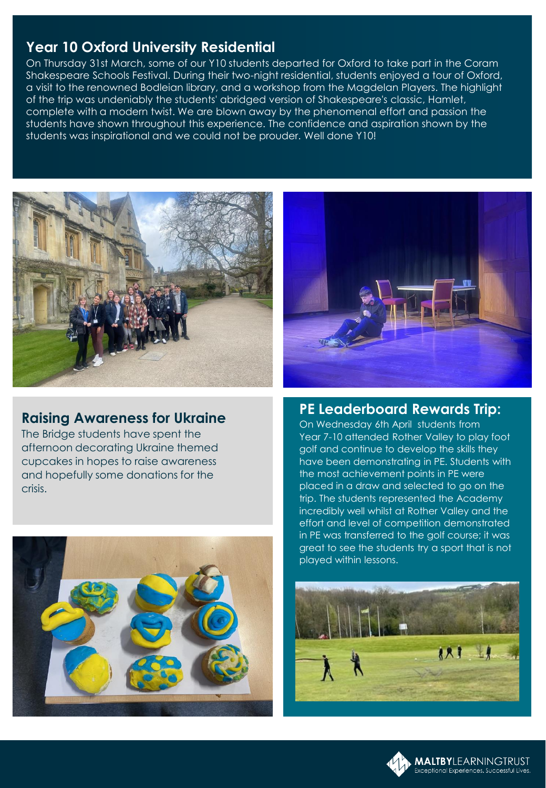## **Year 10 Oxford University Residential**

On Thursday 31st March, some of our Y10 students departed for Oxford to take part in the Coram Shakespeare Schools Festival. During their two-night residential, students enjoyed a tour of Oxford, a visit to the renowned Bodleian library, and a workshop from the Magdelan Players. The highlight of the trip was undeniably the students' abridged version of Shakespeare's classic, Hamlet, complete with a modern twist. We are blown away by the phenomenal effort and passion the students have shown throughout this experience. The confidence and aspiration shown by the students was inspirational and we could not be prouder. Well done Y10!



## **Raising Awareness for Ukraine**

The Bridge students have spent the afternoon decorating Ukraine themed cupcakes in hopes to raise awareness and hopefully some donations for the crisis.





### **PE Leaderboard Rewards Trip:**

On Wednesday 6th April students from Year 7-10 attended Rother Valley to play foot golf and continue to develop the skills they have been demonstrating in PE. Students with the most achievement points in PE were placed in a draw and selected to go on the trip. The students represented the Academy incredibly well whilst at Rother Valley and the effort and level of competition demonstrated in PE was transferred to the golf course; it was great to see the students try a sport that is not played within lessons.



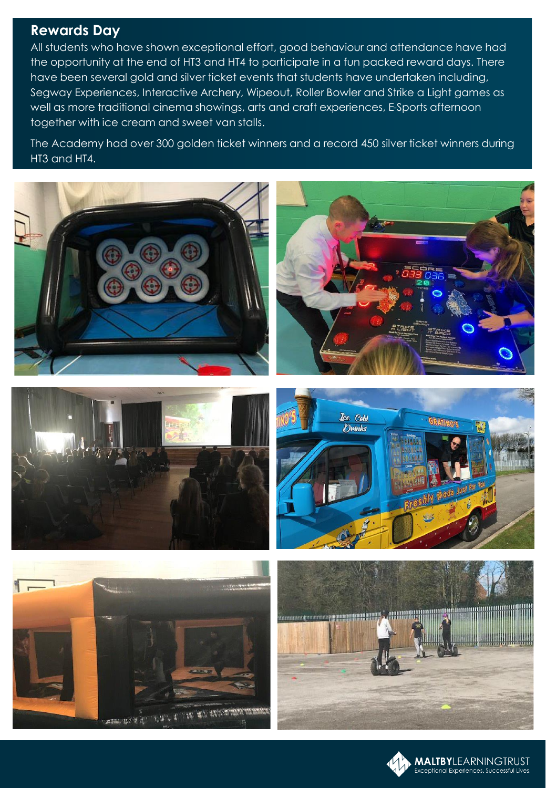### **Rewards Day**

All students who have shown exceptional effort, good behaviour and attendance have had the opportunity at the end of HT3 and HT4 to participate in a fun packed reward days. There have been several gold and silver ticket events that students have undertaken including, Segway Experiences, Interactive Archery, Wipeout, Roller Bowler and Strike a Light games as well as more traditional cinema showings, arts and craft experiences, E-Sports afternoon together with ice cream and sweet van stalls.

The Academy had over 300 golden ticket winners and a record 450 silver ticket winners during HT3 and HT4.

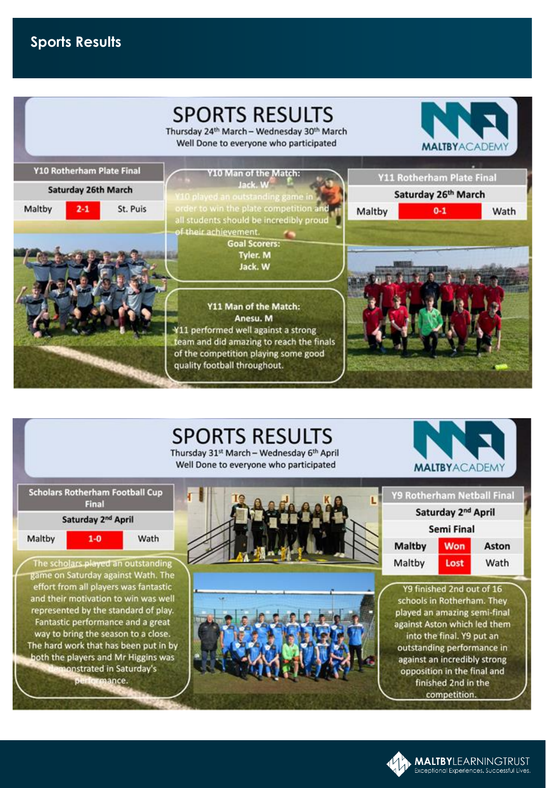# **Sports Results**

|                           |          | <b>SPORTS RESULTS</b><br>Thursday 24th March - Wednesday 30th March<br>Well Done to everyone who participated                                                                                |        | <b>MALTBYACADEM</b>              |      |
|---------------------------|----------|----------------------------------------------------------------------------------------------------------------------------------------------------------------------------------------------|--------|----------------------------------|------|
| Y10 Rotherham Plate Final |          | Y10 Man of the Match:                                                                                                                                                                        |        | <b>Y11 Rotherham Plate Final</b> |      |
| Saturday 26th March       |          | Jack W<br>(10 played an outstanding game in                                                                                                                                                  |        | Saturday 26th March              |      |
| Maltby<br>$2 - 1$         | St. Puis | order to win the plate competition and<br>all students should be incredibly proud<br>of their achievement.<br><b>Goal Scorers:</b><br><b>Tyler. M</b><br>Jack. W                             | Maltby | $0 - 1$                          | Wath |
|                           |          | Y11 Man of the Match:<br>Anesu. M<br>¥11 performed well against a strong<br>team and did amazing to reach the finals<br>of the competition playing some good<br>quality football throughout. |        |                                  |      |

# **SPORTS RESULTS**

Thursday 31st March - Wednesday 6th April Well Done to everyone who participated



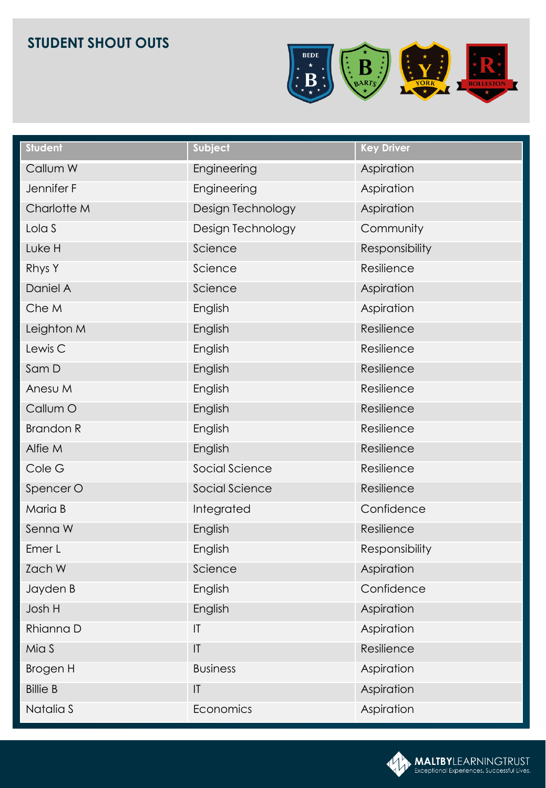# **STUDENT SHOUT OUTS**



| <b>Student</b>     | Subject                | <b>Key Driver</b> |
|--------------------|------------------------|-------------------|
| Callum W           | Engineering            | Aspiration        |
| Jennifer F         | Engineering            | Aspiration        |
| Charlotte M        | Design Technology      | Aspiration        |
| Lola S             | Design Technology      | Community         |
| Luke H             | Science                | Responsibility    |
| Rhys Y             | Science                | Resilience        |
| Daniel A           | Science                | Aspiration        |
| Che M              | English                | Aspiration        |
| Leighton M         | English                | Resilience        |
| Lewis <sub>C</sub> | English                | Resilience        |
| Sam D              | English                | Resilience        |
| Anesu M            | English                | Resilience        |
| Callum O           | English                | Resilience        |
| <b>Brandon R</b>   | English                | Resilience        |
| Alfie M            | English                | Resilience        |
| Cole G             | Social Science         | Resilience        |
| Spencer O          | Social Science         | Resilience        |
| Maria B            | Integrated             | Confidence        |
| Senna W            | English                | Resilience        |
| Emer L             | English                | Responsibility    |
| Zach W             | Science                | Aspiration        |
| Jayden B           | English                | Confidence        |
| Josh H             | English                | Aspiration        |
| Rhianna D          | $\mathsf{I}\mathsf{T}$ | Aspiration        |
| Mia S              | $ \mathsf{T} $         | Resilience        |
| <b>Brogen H</b>    | <b>Business</b>        | Aspiration        |
| <b>Billie B</b>    | IT                     | Aspiration        |
| Natalia S          | Economics              | Aspiration        |

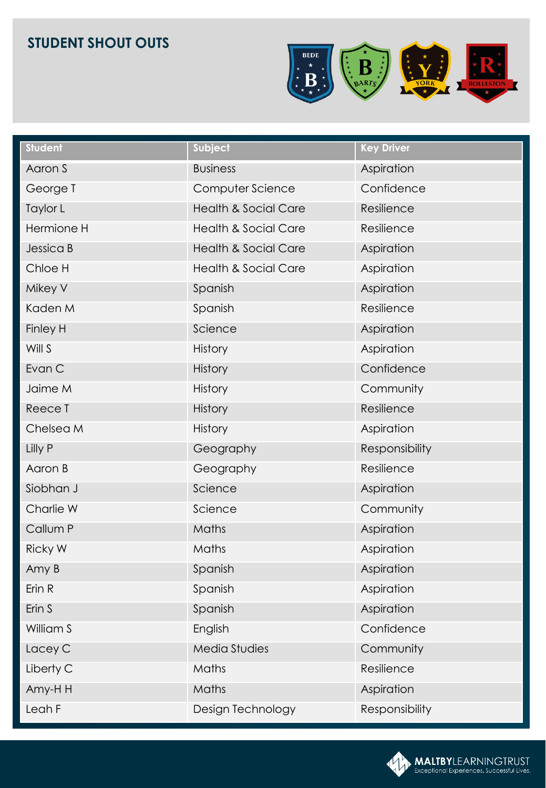# **STUDENT SHOUT OUTS**



| <b>Student</b> | Subject                         | <b>Key Driver</b> |
|----------------|---------------------------------|-------------------|
| Aaron S        | <b>Business</b>                 | Aspiration        |
| George T       | Computer Science                | Confidence        |
| Taylor L       | <b>Health &amp; Social Care</b> | Resilience        |
| Hermione H     | <b>Health &amp; Social Care</b> | Resilience        |
| Jessica B      | <b>Health &amp; Social Care</b> | Aspiration        |
| Chloe H        | <b>Health &amp; Social Care</b> | Aspiration        |
| Mikey V        | Spanish                         | Aspiration        |
| Kaden M        | Spanish                         | Resilience        |
| Finley H       | Science                         | Aspiration        |
| Will S         | <b>History</b>                  | Aspiration        |
| Evan C         | <b>History</b>                  | Confidence        |
| Jaime M        | <b>History</b>                  | Community         |
| Reece T        | <b>History</b>                  | Resilience        |
| Chelsea M      | <b>History</b>                  | Aspiration        |
| Lilly P        | Geography                       | Responsibility    |
| Aaron B        | Geography                       | Resilience        |
| Siobhan J      | Science                         | Aspiration        |
| Charlie W      | Science                         | Community         |
| Callum P       | Maths                           | Aspiration        |
| <b>Ricky W</b> | Maths                           | Aspiration        |
| Amy B          | Spanish                         | Aspiration        |
| Erin R         | Spanish                         | Aspiration        |
| Erin S         | Spanish                         | Aspiration        |
| William S      | English                         | Confidence        |
| Lacey C        | Media Studies                   | Community         |
| Liberty C      | Maths                           | Resilience        |
| Amy-HH         | Maths                           | Aspiration        |
| Leah F         | Design Technology               | Responsibility    |